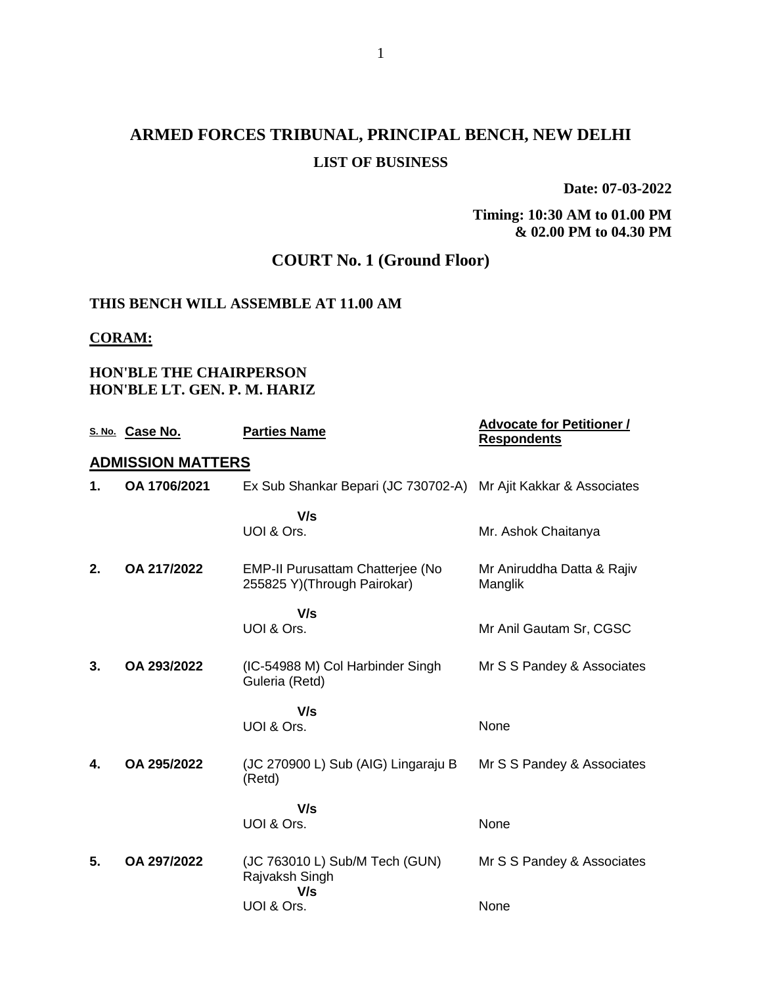# **ARMED FORCES TRIBUNAL, PRINCIPAL BENCH, NEW DELHI LIST OF BUSINESS**

**Date: 07-03-2022**

### **Timing: 10:30 AM to 01.00 PM & 02.00 PM to 04.30 PM**

## **COURT No. 1 (Ground Floor)**

### **THIS BENCH WILL ASSEMBLE AT 11.00 AM**

#### **CORAM:**

### **HON'BLE THE CHAIRPERSON HON'BLE LT. GEN. P. M. HARIZ**

|    | S. No. Case No.          | <b>Parties Name</b>                                                    | <b>Advocate for Petitioner /</b><br><b>Respondents</b> |
|----|--------------------------|------------------------------------------------------------------------|--------------------------------------------------------|
|    | <u>ADMISSION MATTERS</u> |                                                                        |                                                        |
| 1. | OA 1706/2021             | Ex Sub Shankar Bepari (JC 730702-A)                                    | Mr Ajit Kakkar & Associates                            |
|    |                          | V/s                                                                    |                                                        |
|    |                          | UOI & Ors.                                                             | Mr. Ashok Chaitanya                                    |
| 2. | OA 217/2022              | <b>EMP-II Purusattam Chatterjee (No</b><br>255825 Y)(Through Pairokar) | Mr Aniruddha Datta & Rajiv<br>Manglik                  |
|    |                          | V/s                                                                    |                                                        |
|    |                          | UOI & Ors.                                                             | Mr Anil Gautam Sr, CGSC                                |
| 3. | OA 293/2022              | (IC-54988 M) Col Harbinder Singh<br>Guleria (Retd)                     | Mr S S Pandey & Associates                             |
|    |                          | V/s                                                                    |                                                        |
|    |                          | UOI & Ors.                                                             | None                                                   |
| 4. | OA 295/2022              | (JC 270900 L) Sub (AIG) Lingaraju B<br>(Retd)                          | Mr S S Pandey & Associates                             |
|    |                          | V/s                                                                    |                                                        |
|    |                          | UOI & Ors.                                                             | None                                                   |
| 5. | OA 297/2022              | (JC 763010 L) Sub/M Tech (GUN)<br>Rajvaksh Singh<br>V/s                | Mr S S Pandey & Associates                             |
|    |                          | UOI & Ors.                                                             | None                                                   |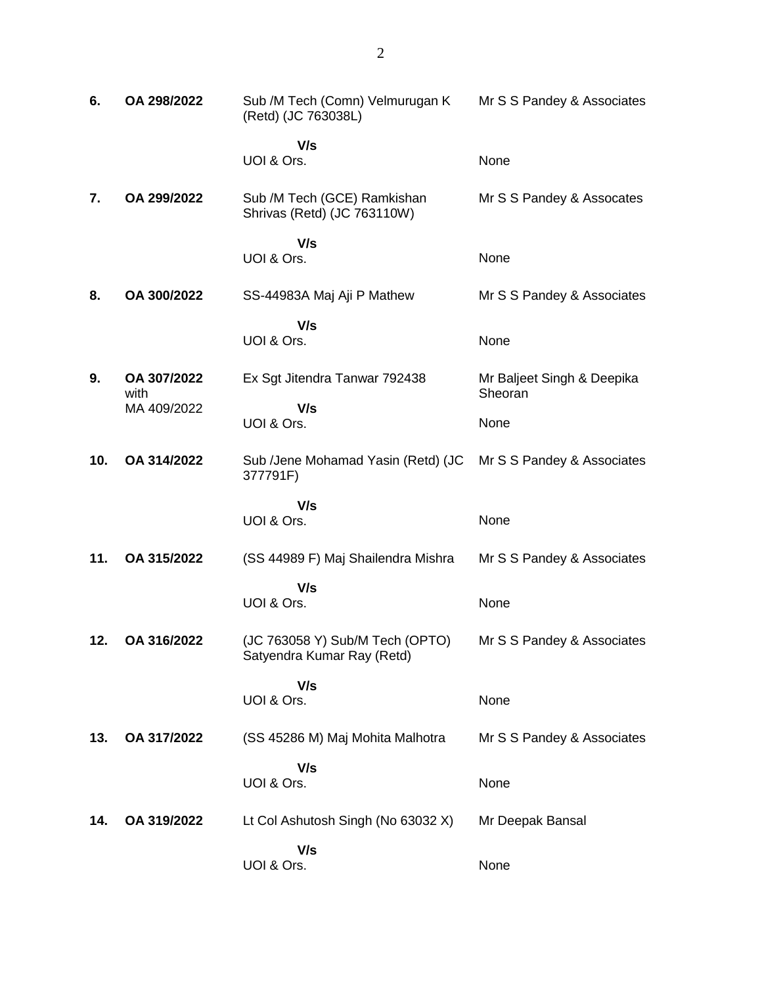| 6.  | OA 298/2022         | Sub /M Tech (Comn) Velmurugan K<br>(Retd) (JC 763038L)        | Mr S S Pandey & Associates            |
|-----|---------------------|---------------------------------------------------------------|---------------------------------------|
|     |                     | V/s<br>UOI & Ors.                                             | None                                  |
| 7.  | OA 299/2022         | Sub /M Tech (GCE) Ramkishan<br>Shrivas (Retd) (JC 763110W)    | Mr S S Pandey & Assocates             |
|     |                     | V/s<br>UOI & Ors.                                             | None                                  |
| 8.  | OA 300/2022         | SS-44983A Maj Aji P Mathew                                    | Mr S S Pandey & Associates            |
|     |                     | V/s<br>UOI & Ors.                                             | None                                  |
| 9.  | OA 307/2022<br>with | Ex Sgt Jitendra Tanwar 792438                                 | Mr Baljeet Singh & Deepika<br>Sheoran |
|     | MA 409/2022         | V/s<br>UOI & Ors.                                             | None                                  |
| 10. | OA 314/2022         | Sub /Jene Mohamad Yasin (Retd) (JC<br>377791F)                | Mr S S Pandey & Associates            |
|     |                     | V/s<br>UOI & Ors.                                             | None                                  |
| 11. | OA 315/2022         | (SS 44989 F) Maj Shailendra Mishra                            | Mr S S Pandey & Associates            |
|     |                     | V/s<br>UOI & Ors.                                             | None                                  |
| 12. | OA 316/2022         | (JC 763058 Y) Sub/M Tech (OPTO)<br>Satyendra Kumar Ray (Retd) | Mr S S Pandey & Associates            |
|     |                     | V/s<br>UOI & Ors.                                             | None                                  |
| 13. | OA 317/2022         | (SS 45286 M) Maj Mohita Malhotra                              | Mr S S Pandey & Associates            |
|     |                     | V/s<br>UOI & Ors.                                             | None                                  |
| 14. | OA 319/2022         | Lt Col Ashutosh Singh (No 63032 X)                            | Mr Deepak Bansal                      |
|     |                     | V/s<br>UOI & Ors.                                             | None                                  |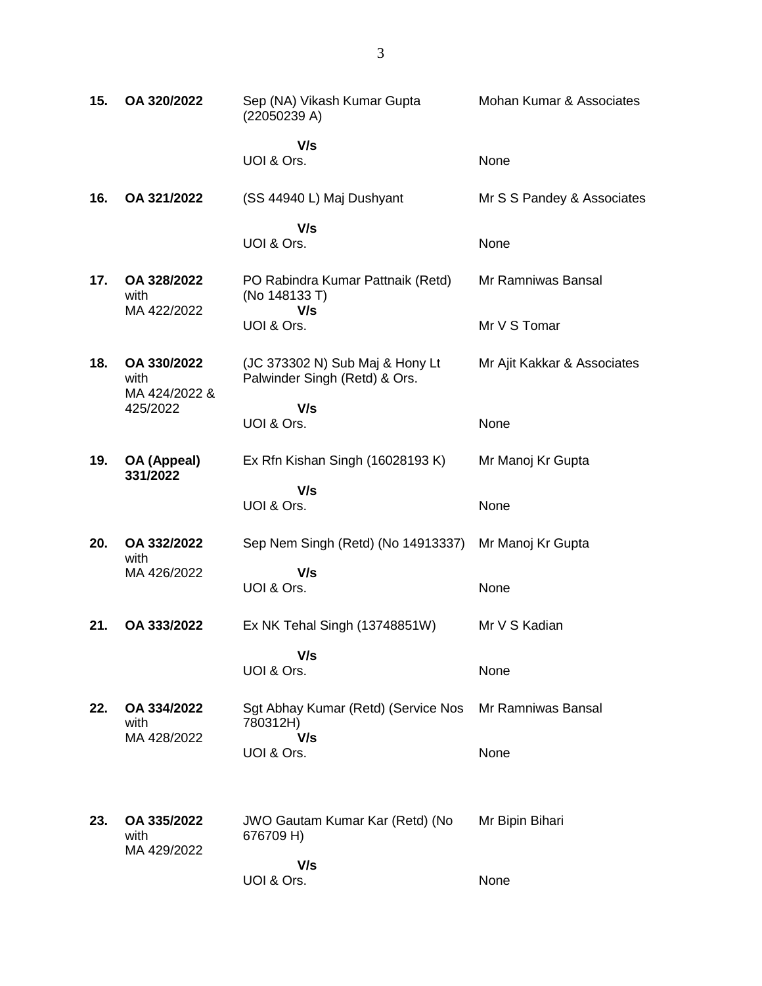| 15. | OA 320/2022                          | Sep (NA) Vikash Kumar Gupta<br>(22050239 A)                      | Mohan Kumar & Associates    |
|-----|--------------------------------------|------------------------------------------------------------------|-----------------------------|
|     |                                      | V/s<br>UOI & Ors.                                                | None                        |
| 16. | OA 321/2022                          | (SS 44940 L) Maj Dushyant                                        | Mr S S Pandey & Associates  |
|     |                                      | V/s<br>UOI & Ors.                                                | None                        |
| 17. | OA 328/2022<br>with<br>MA 422/2022   | PO Rabindra Kumar Pattnaik (Retd)<br>(No 148133 T)<br>V/s        | Mr Ramniwas Bansal          |
|     |                                      | UOI & Ors.                                                       | Mr V S Tomar                |
| 18. | OA 330/2022<br>with<br>MA 424/2022 & | (JC 373302 N) Sub Maj & Hony Lt<br>Palwinder Singh (Retd) & Ors. | Mr Ajit Kakkar & Associates |
|     | 425/2022                             | V/s<br>UOI & Ors.                                                | None                        |
| 19. | OA (Appeal)<br>331/2022              | Ex Rfn Kishan Singh (16028193 K)                                 | Mr Manoj Kr Gupta           |
|     |                                      | V/s<br>UOI & Ors.                                                | None                        |
| 20. | OA 332/2022<br>with                  | Sep Nem Singh (Retd) (No 14913337)                               | Mr Manoj Kr Gupta           |
|     | MA 426/2022                          | V/s<br>UOI & Ors.                                                | None                        |
| 21. | OA 333/2022                          | Ex NK Tehal Singh (13748851W)                                    | Mr V S Kadian               |
|     |                                      | V/s<br>UOI & Ors.                                                | None                        |
| 22. | OA 334/2022<br>with<br>MA 428/2022   | Sgt Abhay Kumar (Retd) (Service Nos<br>780312H)<br>V/s           | Mr Ramniwas Bansal          |
|     |                                      | UOI & Ors.                                                       | None                        |
| 23. | OA 335/2022<br>with<br>MA 429/2022   | <b>JWO Gautam Kumar Kar (Retd) (No</b><br>676709 H)              | Mr Bipin Bihari             |
|     |                                      | V/s<br>UOI & Ors.                                                | None                        |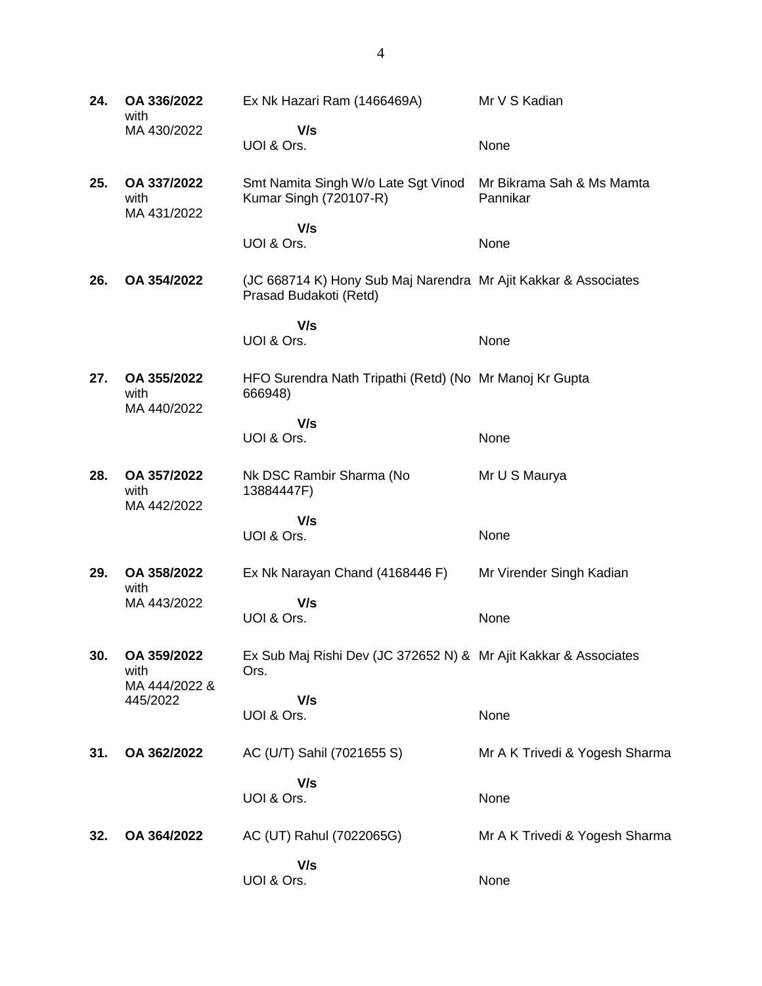**24. OA 336/2022** with MA 430/2022 Ex Nk Hazari Ram (1466469A)  **V/s** UOI & Ors. Mr V S Kadian None **25. OA 337/2022** with MA 431/2022 Smt Namita Singh W/o Late Sgt Vinod Kumar Singh (720107-R)  **V/s** UOI & Ors. Mr Bikrama Sah & Ms Mamta Pannikar None **26. OA 354/2022** (JC 668714 K) Hony Sub Maj Narendra Mr Ajit Kakkar & Associates Prasad Budakoti (Retd)  **V/s** UOI & Ors. None **27. OA 355/2022** with MA 440/2022 HFO Surendra Nath Tripathi (Retd) (No Mr Manoj Kr Gupta 666948)  **V/s** UOI & Ors. None **28. OA 357/2022** with MA 442/2022 Nk DSC Rambir Sharma (No 13884447F)  **V/s** UOI & Ors. Mr U S Maurya None **29. OA 358/2022** with MA 443/2022 Ex Nk Narayan Chand (4168446 F)  **V/s** UOI & Ors. Mr Virender Singh Kadian None **30. OA 359/2022** with MA 444/2022 & 445/2022 Ex Sub Maj Rishi Dev (JC 372652 N) & Mr Ajit Kakkar & Associates Ors.  **V/s** UOI & Ors. None **31. OA 362/2022** AC (U/T) Sahil (7021655 S)  **V/s** UOI & Ors. Mr A K Trivedi & Yogesh Sharma None **32. OA 364/2022** AC (UT) Rahul (7022065G)  **V/s** Mr A K Trivedi & Yogesh Sharma

None

UOI & Ors.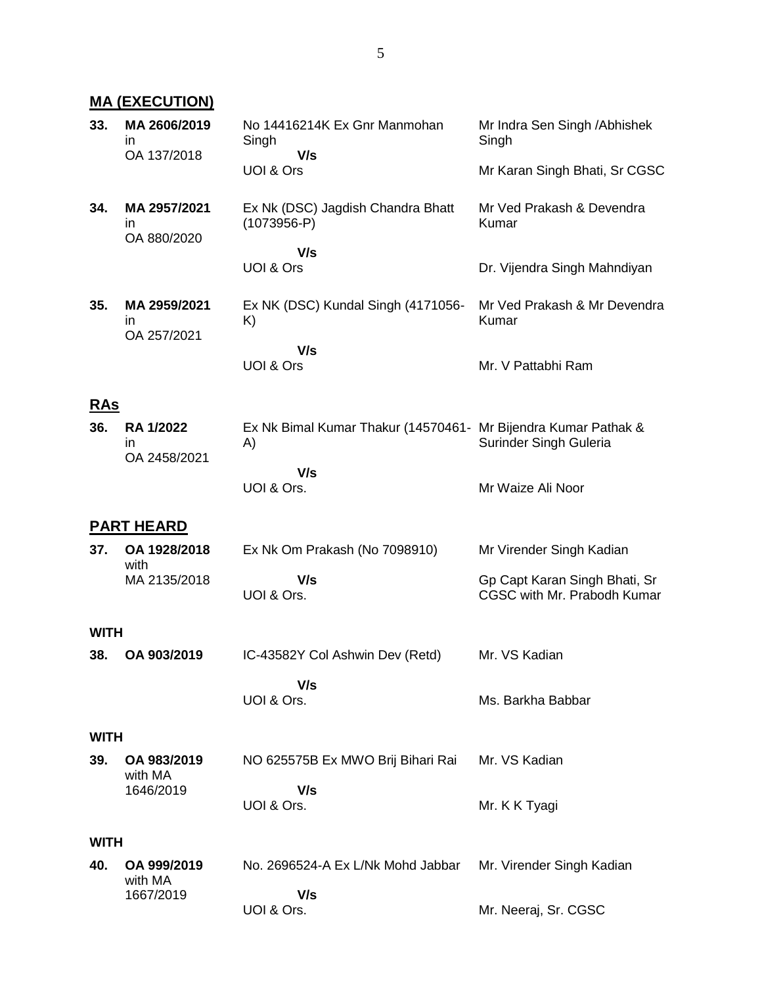## **MA (EXECUTION)**

| 33.         | MA 2606/2019<br>ın<br>OA 137/2018 | No 14416214K Ex Gnr Manmohan<br>Singh<br>V/s                         | Mr Indra Sen Singh / Abhishek<br>Singh                       |  |  |
|-------------|-----------------------------------|----------------------------------------------------------------------|--------------------------------------------------------------|--|--|
|             |                                   | UOI & Ors                                                            | Mr Karan Singh Bhati, Sr CGSC                                |  |  |
| 34.         | MA 2957/2021<br>ın<br>OA 880/2020 | Ex Nk (DSC) Jagdish Chandra Bhatt<br>$(1073956 - P)$                 | Mr Ved Prakash & Devendra<br>Kumar                           |  |  |
|             |                                   | V/s<br>UOI & Ors                                                     | Dr. Vijendra Singh Mahndiyan                                 |  |  |
| 35.         | MA 2959/2021<br>ın<br>OA 257/2021 | Ex NK (DSC) Kundal Singh (4171056-<br>K)                             | Mr Ved Prakash & Mr Devendra<br>Kumar                        |  |  |
|             |                                   | V/s<br>UOI & Ors                                                     | Mr. V Pattabhi Ram                                           |  |  |
| <b>RAs</b>  |                                   |                                                                      |                                                              |  |  |
| 36.         | RA 1/2022<br>in<br>OA 2458/2021   | Ex Nk Bimal Kumar Thakur (14570461- Mr Bijendra Kumar Pathak &<br>A) | Surinder Singh Guleria                                       |  |  |
|             |                                   | V/s<br>UOI & Ors.                                                    | Mr Waize Ali Noor                                            |  |  |
|             | <b>PART HEARD</b>                 |                                                                      |                                                              |  |  |
| 37.         | OA 1928/2018<br>with              | Ex Nk Om Prakash (No 7098910)                                        | Mr Virender Singh Kadian                                     |  |  |
|             | MA 2135/2018                      | V/s<br>UOI & Ors.                                                    | Gp Capt Karan Singh Bhati, Sr<br>CGSC with Mr. Prabodh Kumar |  |  |
| <b>WITH</b> |                                   |                                                                      |                                                              |  |  |
| 38.         | OA 903/2019                       | IC-43582Y Col Ashwin Dev (Retd)                                      | Mr. VS Kadian                                                |  |  |
|             |                                   | V/s<br>UOI & Ors.                                                    | Ms. Barkha Babbar                                            |  |  |
|             | <b>WITH</b>                       |                                                                      |                                                              |  |  |
| 39.         | OA 983/2019<br>with MA            | NO 625575B Ex MWO Brij Bihari Rai                                    | Mr. VS Kadian                                                |  |  |
|             | 1646/2019                         | V/s<br>UOI & Ors.                                                    | Mr. K K Tyagi                                                |  |  |
| <b>WITH</b> |                                   |                                                                      |                                                              |  |  |
| 40.         | OA 999/2019<br>with MA            | No. 2696524-A Ex L/Nk Mohd Jabbar                                    | Mr. Virender Singh Kadian                                    |  |  |
|             | 1667/2019                         | V/s<br>UOI & Ors.                                                    | Mr. Neeraj, Sr. CGSC                                         |  |  |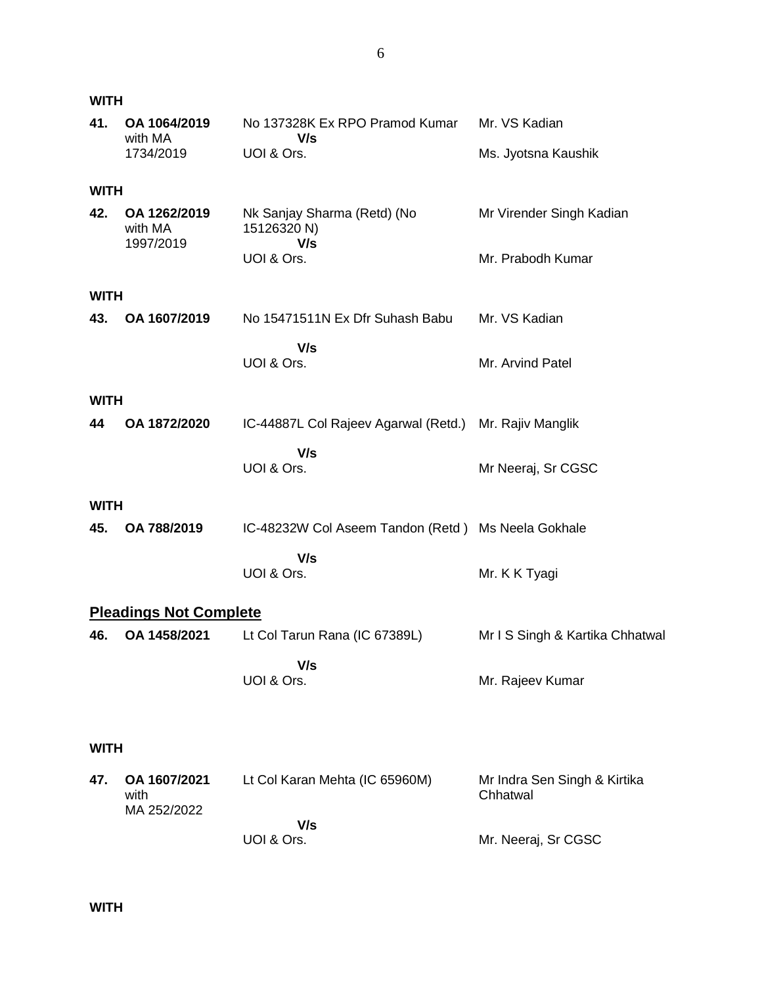| <b>WITH</b> |                                      |                                                                 |                                               |
|-------------|--------------------------------------|-----------------------------------------------------------------|-----------------------------------------------|
| 41.         | OA 1064/2019<br>with MA<br>1734/2019 | No 137328K Ex RPO Pramod Kumar<br>V/s<br>UOI & Ors.             | Mr. VS Kadian<br>Ms. Jyotsna Kaushik          |
| <b>WITH</b> |                                      |                                                                 |                                               |
| 42.         | OA 1262/2019<br>with MA<br>1997/2019 | Nk Sanjay Sharma (Retd) (No<br>15126320 N)<br>V/s<br>UOI & Ors. | Mr Virender Singh Kadian<br>Mr. Prabodh Kumar |
| <b>WITH</b> |                                      |                                                                 |                                               |
| 43.         | OA 1607/2019                         | No 15471511N Ex Dfr Suhash Babu                                 | Mr. VS Kadian                                 |
|             |                                      | V/s<br>UOI & Ors.                                               | Mr. Arvind Patel                              |
| <b>WITH</b> |                                      |                                                                 |                                               |
| 44          | OA 1872/2020                         | IC-44887L Col Rajeev Agarwal (Retd.)                            | Mr. Rajiv Manglik                             |
|             |                                      | V/s<br>UOI & Ors.                                               | Mr Neeraj, Sr CGSC                            |
| <b>WITH</b> |                                      |                                                                 |                                               |
| 45.         | OA 788/2019                          | IC-48232W Col Aseem Tandon (Retd) Ms Neela Gokhale              |                                               |
|             |                                      | V/s<br>UOI & Ors.                                               | Mr. K K Tyagi                                 |
|             | <b>Pleadings Not Complete</b>        |                                                                 |                                               |
| 46.         | OA 1458/2021                         | Lt Col Tarun Rana (IC 67389L)                                   | Mr I S Singh & Kartika Chhatwal               |
|             |                                      | V/s<br>UOI & Ors.                                               | Mr. Rajeev Kumar                              |
| <b>WITH</b> |                                      |                                                                 |                                               |
| 47.         | OA 1607/2021<br>with<br>MA 252/2022  | Lt Col Karan Mehta (IC 65960M)                                  | Mr Indra Sen Singh & Kirtika<br>Chhatwal      |
|             |                                      | V/s<br>UOI & Ors.                                               | Mr. Neeraj, Sr CGSC                           |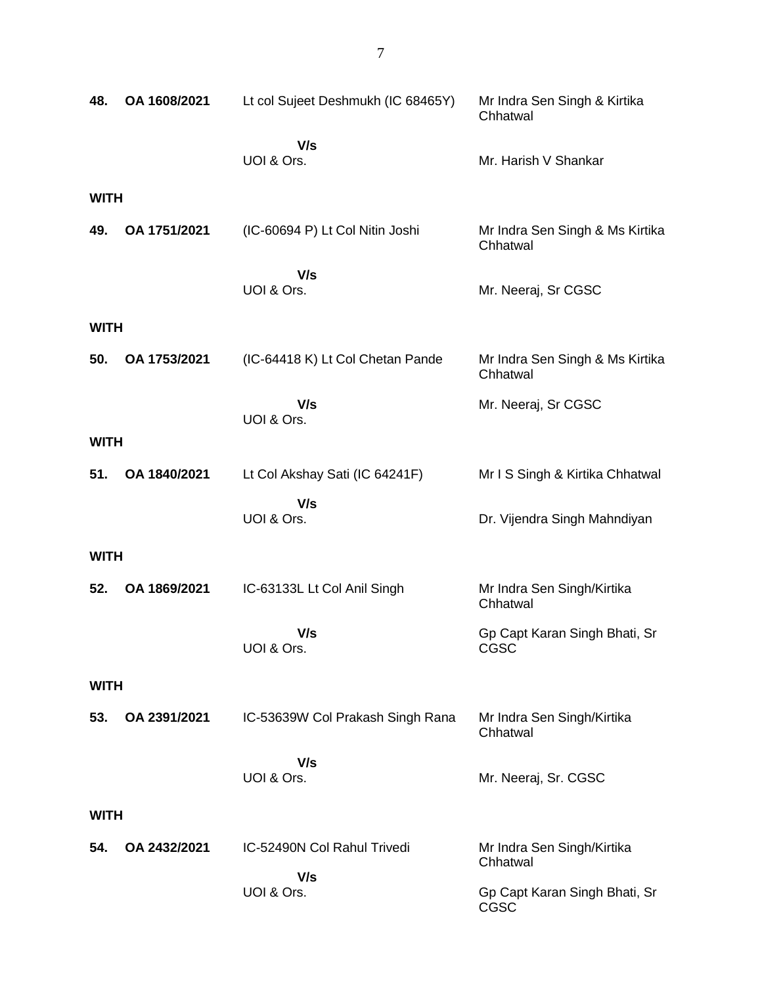| 48.         | OA 1608/2021 | Lt col Sujeet Deshmukh (IC 68465Y) | Mr Indra Sen Singh & Kirtika<br>Chhatwal    |  |
|-------------|--------------|------------------------------------|---------------------------------------------|--|
|             |              | V/s<br>UOI & Ors.                  | Mr. Harish V Shankar                        |  |
| <b>WITH</b> |              |                                    |                                             |  |
| 49.         | OA 1751/2021 | (IC-60694 P) Lt Col Nitin Joshi    | Mr Indra Sen Singh & Ms Kirtika<br>Chhatwal |  |
|             |              | V/s<br>UOI & Ors.                  | Mr. Neeraj, Sr CGSC                         |  |
| <b>WITH</b> |              |                                    |                                             |  |
| 50.         | OA 1753/2021 | (IC-64418 K) Lt Col Chetan Pande   | Mr Indra Sen Singh & Ms Kirtika<br>Chhatwal |  |
|             |              | V/s<br>UOI & Ors.                  | Mr. Neeraj, Sr CGSC                         |  |
| <b>WITH</b> |              |                                    |                                             |  |
| 51.         | OA 1840/2021 | Lt Col Akshay Sati (IC 64241F)     | Mr I S Singh & Kirtika Chhatwal             |  |
|             |              | V/s<br>UOI & Ors.                  | Dr. Vijendra Singh Mahndiyan                |  |
| <b>WITH</b> |              |                                    |                                             |  |
| 52.         | OA 1869/2021 | IC-63133L Lt Col Anil Singh        | Mr Indra Sen Singh/Kirtika<br>Chhatwal      |  |
|             |              | V/s<br>UOI & Ors.                  | Gp Capt Karan Singh Bhati, Sr<br>CGSC       |  |
| <b>WITH</b> |              |                                    |                                             |  |
| 53.         | OA 2391/2021 | IC-53639W Col Prakash Singh Rana   | Mr Indra Sen Singh/Kirtika<br>Chhatwal      |  |
|             |              | V/s<br>UOI & Ors.                  | Mr. Neeraj, Sr. CGSC                        |  |
|             | <b>WITH</b>  |                                    |                                             |  |
| 54.         | OA 2432/2021 | IC-52490N Col Rahul Trivedi        | Mr Indra Sen Singh/Kirtika<br>Chhatwal      |  |
|             |              | V/s<br>UOI & Ors.                  | Gp Capt Karan Singh Bhati, Sr<br>CGSC       |  |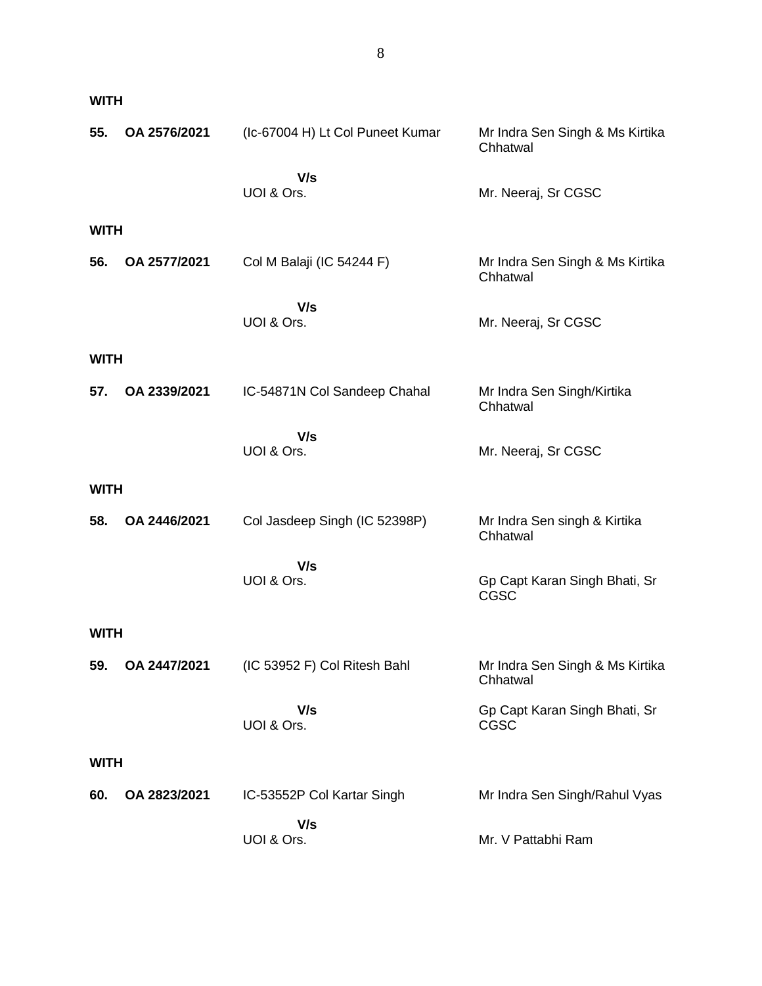|--|

| 55.         | OA 2576/2021 | (Ic-67004 H) Lt Col Puneet Kumar | Mr Indra Sen Singh & Ms Kirtika<br>Chhatwal  |  |
|-------------|--------------|----------------------------------|----------------------------------------------|--|
|             |              | V/s<br>UOI & Ors.                | Mr. Neeraj, Sr CGSC                          |  |
|             |              |                                  |                                              |  |
| <b>WITH</b> |              |                                  |                                              |  |
| 56.         | OA 2577/2021 | Col M Balaji (IC 54244 F)        | Mr Indra Sen Singh & Ms Kirtika<br>Chhatwal  |  |
|             |              | V/s<br>UOI & Ors.                | Mr. Neeraj, Sr CGSC                          |  |
| <b>WITH</b> |              |                                  |                                              |  |
| 57.         | OA 2339/2021 | IC-54871N Col Sandeep Chahal     | Mr Indra Sen Singh/Kirtika<br>Chhatwal       |  |
|             |              | V/s                              |                                              |  |
|             |              | UOI & Ors.                       | Mr. Neeraj, Sr CGSC                          |  |
| <b>WITH</b> |              |                                  |                                              |  |
| 58.         | OA 2446/2021 | Col Jasdeep Singh (IC 52398P)    | Mr Indra Sen singh & Kirtika<br>Chhatwal     |  |
|             |              | V/s<br>UOI & Ors.                | Gp Capt Karan Singh Bhati, Sr<br><b>CGSC</b> |  |
| <b>WITH</b> |              |                                  |                                              |  |
| 59.         | OA 2447/2021 | (IC 53952 F) Col Ritesh Bahl     | Mr Indra Sen Singh & Ms Kirtika<br>Chhatwal  |  |
|             |              | V/s<br>UOI & Ors.                | Gp Capt Karan Singh Bhati, Sr<br>CGSC        |  |
|             | <b>WITH</b>  |                                  |                                              |  |
| 60.         | OA 2823/2021 | IC-53552P Col Kartar Singh       | Mr Indra Sen Singh/Rahul Vyas                |  |
|             |              | V/s<br>UOI & Ors.                | Mr. V Pattabhi Ram                           |  |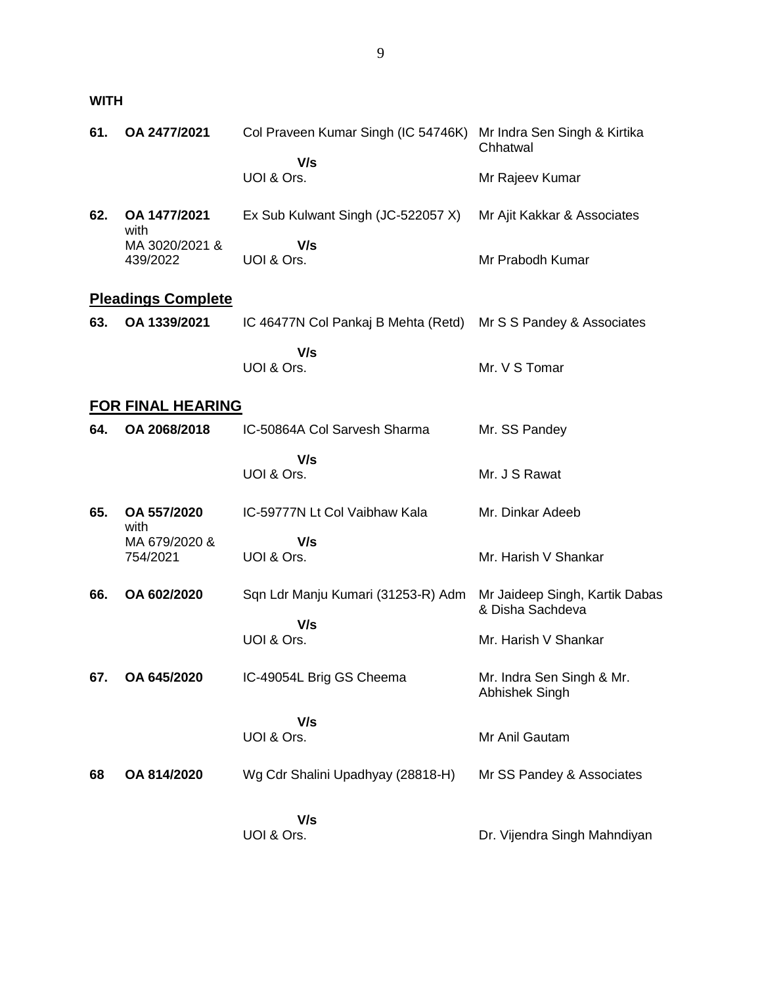**WITH**

| 61. | OA 2477/2021               | Col Praveen Kumar Singh (IC 54746K)       | Mr Indra Sen Singh & Kirtika<br>Chhatwal           |
|-----|----------------------------|-------------------------------------------|----------------------------------------------------|
|     |                            | V/s<br>UOI & Ors.                         | Mr Rajeev Kumar                                    |
| 62. | OA 1477/2021<br>with       | Ex Sub Kulwant Singh (JC-522057 X)        | Mr Ajit Kakkar & Associates                        |
|     | MA 3020/2021 &<br>439/2022 | V/s<br>UOI & Ors.                         | Mr Prabodh Kumar                                   |
|     | <b>Pleadings Complete</b>  |                                           |                                                    |
| 63. | OA 1339/2021               | IC 46477N Col Pankaj B Mehta (Retd)       | Mr S S Pandey & Associates                         |
|     |                            | V/s<br>UOI & Ors.                         | Mr. V S Tomar                                      |
|     | <b>FOR FINAL HEARING</b>   |                                           |                                                    |
| 64. | OA 2068/2018               | IC-50864A Col Sarvesh Sharma              | Mr. SS Pandey                                      |
|     |                            | V/s<br>UOI & Ors.                         | Mr. J S Rawat                                      |
| 65. | OA 557/2020<br>with        | IC-59777N Lt Col Vaibhaw Kala             | Mr. Dinkar Adeeb                                   |
|     | MA 679/2020 &              | V/s                                       |                                                    |
|     | 754/2021                   | UOI & Ors.                                | Mr. Harish V Shankar                               |
| 66. | OA 602/2020                | Sqn Ldr Manju Kumari (31253-R) Adm<br>V/s | Mr Jaideep Singh, Kartik Dabas<br>& Disha Sachdeva |
|     |                            | UOI & Ors.                                | Mr. Harish V Shankar                               |
| 67. | OA 645/2020                | IC-49054L Brig GS Cheema                  | Mr. Indra Sen Singh & Mr.<br><b>Abhishek Singh</b> |
|     |                            | V/s<br>UOI & Ors.                         | Mr Anil Gautam                                     |
|     |                            |                                           |                                                    |
| 68  | OA 814/2020                | Wg Cdr Shalini Upadhyay (28818-H)         | Mr SS Pandey & Associates                          |
|     |                            | V/s                                       |                                                    |
|     |                            | UOI & Ors.                                | Dr. Vijendra Singh Mahndiyan                       |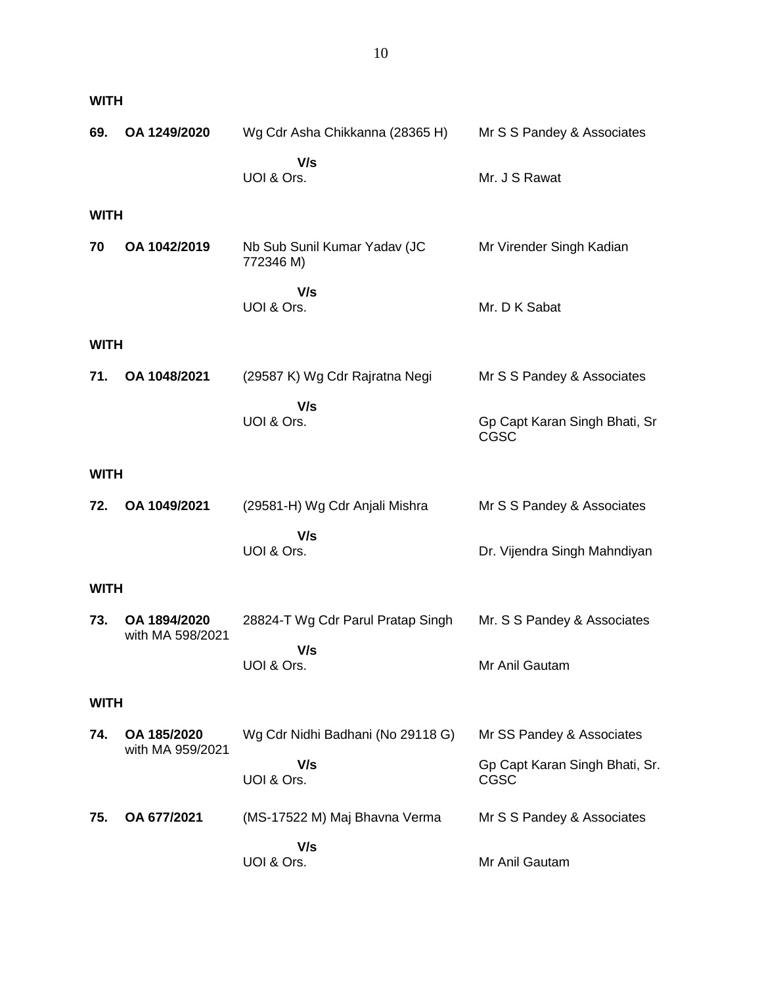| <b>WITH</b> |                                  |                                           |                                        |  |
|-------------|----------------------------------|-------------------------------------------|----------------------------------------|--|
| 69.         | OA 1249/2020                     | Wg Cdr Asha Chikkanna (28365 H)           | Mr S S Pandey & Associates             |  |
|             |                                  | V/s<br>UOI & Ors.                         | Mr. J S Rawat                          |  |
| <b>WITH</b> |                                  |                                           |                                        |  |
| 70          | OA 1042/2019                     | Nb Sub Sunil Kumar Yadav (JC<br>772346 M) | Mr Virender Singh Kadian               |  |
|             |                                  | V/s<br>UOI & Ors.                         | Mr. D K Sabat                          |  |
| <b>WITH</b> |                                  |                                           |                                        |  |
| 71.         | OA 1048/2021                     | (29587 K) Wg Cdr Rajratna Negi            | Mr S S Pandey & Associates             |  |
|             |                                  | V/s<br>UOI & Ors.                         | Gp Capt Karan Singh Bhati, Sr<br>CGSC  |  |
| <b>WITH</b> |                                  |                                           |                                        |  |
| 72.         | OA 1049/2021                     | (29581-H) Wg Cdr Anjali Mishra            | Mr S S Pandey & Associates             |  |
|             |                                  | V/s<br>UOI & Ors.                         | Dr. Vijendra Singh Mahndiyan           |  |
| <b>WITH</b> |                                  |                                           |                                        |  |
| 73.         | OA 1894/2020<br>with MA 598/2021 | 28824-T Wg Cdr Parul Pratap Singh         | Mr. S S Pandey & Associates            |  |
|             |                                  | V/s<br>UOI & Ors.                         | Mr Anil Gautam                         |  |
| <b>WITH</b> |                                  |                                           |                                        |  |
| 74.         | OA 185/2020<br>with MA 959/2021  | Wg Cdr Nidhi Badhani (No 29118 G)         | Mr SS Pandey & Associates              |  |
|             |                                  | V/s<br>UOI & Ors.                         | Gp Capt Karan Singh Bhati, Sr.<br>CGSC |  |
| 75.         | OA 677/2021                      | (MS-17522 M) Maj Bhavna Verma             | Mr S S Pandey & Associates             |  |
|             |                                  | V/s<br>UOI & Ors.                         | Mr Anil Gautam                         |  |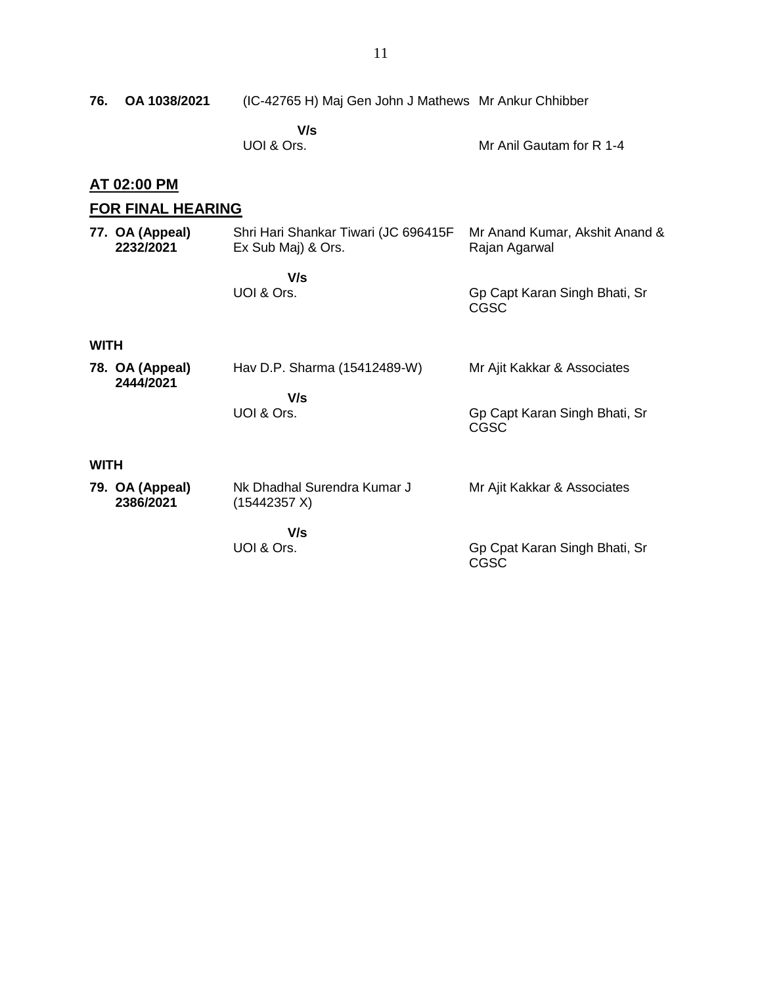| 76.         | OA 1038/2021                 | (IC-42765 H) Maj Gen John J Mathews Mr Ankur Chhibber      |                                                 |
|-------------|------------------------------|------------------------------------------------------------|-------------------------------------------------|
|             |                              | V/s<br>UOI & Ors.                                          | Mr Anil Gautam for R 1-4                        |
|             | <u>AT 02:00 PM</u>           |                                                            |                                                 |
|             | <b>FOR FINAL HEARING</b>     |                                                            |                                                 |
|             | 77. OA (Appeal)<br>2232/2021 | Shri Hari Shankar Tiwari (JC 696415F<br>Ex Sub Maj) & Ors. | Mr Anand Kumar, Akshit Anand &<br>Rajan Agarwal |
|             |                              | V/s<br>UOI & Ors.                                          | Gp Capt Karan Singh Bhati, Sr<br>CGSC           |
| <b>WITH</b> |                              |                                                            |                                                 |
|             | 78. OA (Appeal)<br>2444/2021 | Hav D.P. Sharma (15412489-W)                               | Mr Ajit Kakkar & Associates                     |
|             |                              | V/s<br>UOI & Ors.                                          | Gp Capt Karan Singh Bhati, Sr<br><b>CGSC</b>    |
| <b>WITH</b> |                              |                                                            |                                                 |
|             | 79. OA (Appeal)<br>2386/2021 | Nk Dhadhal Surendra Kumar J<br>(15442357 X)                | Mr Ajit Kakkar & Associates                     |
|             |                              | V/s                                                        |                                                 |
|             |                              | UOI & Ors.                                                 | Gp Cpat Karan Singh Bhati, Sr<br>CGSC           |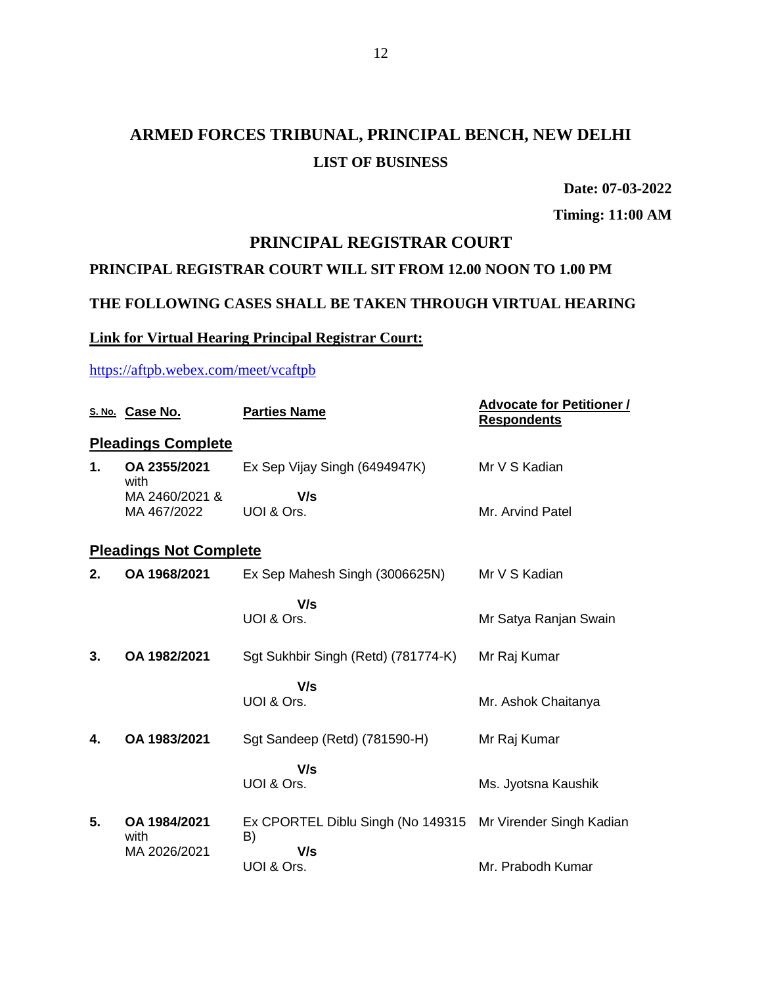# **ARMED FORCES TRIBUNAL, PRINCIPAL BENCH, NEW DELHI LIST OF BUSINESS**

**Date: 07-03-2022**

**Timing: 11:00 AM**

## **PRINCIPAL REGISTRAR COURT**

### **PRINCIPAL REGISTRAR COURT WILL SIT FROM 12.00 NOON TO 1.00 PM**

### **THE FOLLOWING CASES SHALL BE TAKEN THROUGH VIRTUAL HEARING**

### **Link for Virtual Hearing Principal Registrar Court:**

### <https://aftpb.webex.com/meet/vcaftpb>

|    | S. No. Case No.               | <b>Parties Name</b>                     | <b>Advocate for Petitioner /</b><br><b>Respondents</b> |
|----|-------------------------------|-----------------------------------------|--------------------------------------------------------|
|    | <b>Pleadings Complete</b>     |                                         |                                                        |
| 1. | OA 2355/2021<br>with          | Ex Sep Vijay Singh (6494947K)           | Mr V S Kadian                                          |
|    | MA 2460/2021 &<br>MA 467/2022 | V/s<br>UOI & Ors.                       | Mr. Arvind Patel                                       |
|    | <b>Pleadings Not Complete</b> |                                         |                                                        |
| 2. | OA 1968/2021                  | Ex Sep Mahesh Singh (3006625N)          | Mr V S Kadian                                          |
|    |                               | V/s<br>UOI & Ors.                       | Mr Satya Ranjan Swain                                  |
| 3. | OA 1982/2021                  | Sgt Sukhbir Singh (Retd) (781774-K)     | Mr Raj Kumar                                           |
|    |                               | V/s<br>UOI & Ors.                       | Mr. Ashok Chaitanya                                    |
| 4. | OA 1983/2021                  | Sgt Sandeep (Retd) (781590-H)           | Mr Raj Kumar                                           |
|    |                               | V/s<br>UOI & Ors.                       | Ms. Jyotsna Kaushik                                    |
| 5. | OA 1984/2021<br>with          | Ex CPORTEL Diblu Singh (No 149315<br>B) | Mr Virender Singh Kadian                               |
|    | MA 2026/2021                  | V/s<br>UOI & Ors.                       | Mr. Prabodh Kumar                                      |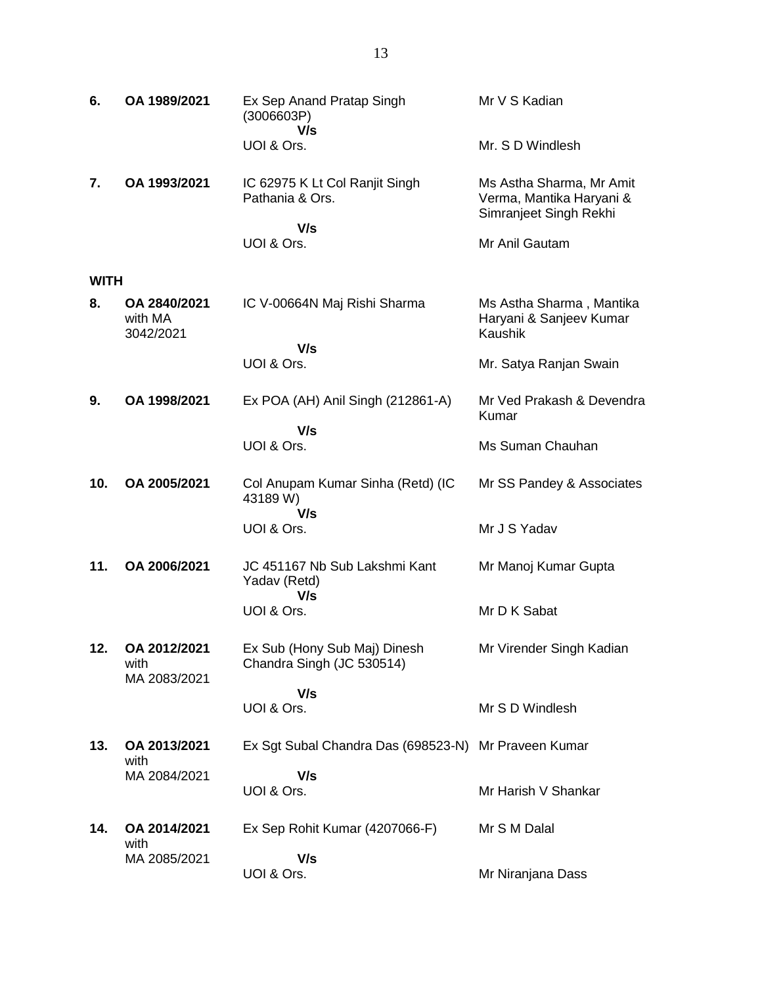| 6.          | OA 1989/2021                         | Ex Sep Anand Pratap Singh<br>(3006603P)<br>V/s            | Mr V S Kadian                                                                  |
|-------------|--------------------------------------|-----------------------------------------------------------|--------------------------------------------------------------------------------|
|             |                                      | UOI & Ors.                                                | Mr. S D Windlesh                                                               |
| 7.          | OA 1993/2021                         | IC 62975 K Lt Col Ranjit Singh<br>Pathania & Ors.         | Ms Astha Sharma, Mr Amit<br>Verma, Mantika Haryani &<br>Simranjeet Singh Rekhi |
|             |                                      | V/s<br>UOI & Ors.                                         | Mr Anil Gautam                                                                 |
| <b>WITH</b> |                                      |                                                           |                                                                                |
| 8.          | OA 2840/2021<br>with MA<br>3042/2021 | IC V-00664N Maj Rishi Sharma                              | Ms Astha Sharma, Mantika<br>Haryani & Sanjeev Kumar<br><b>Kaushik</b>          |
|             |                                      | V/s<br>UOI & Ors.                                         | Mr. Satya Ranjan Swain                                                         |
|             |                                      |                                                           |                                                                                |
| 9.          | OA 1998/2021                         | Ex POA (AH) Anil Singh (212861-A)                         | Mr Ved Prakash & Devendra<br>Kumar                                             |
|             |                                      | V/s<br>UOI & Ors.                                         | Ms Suman Chauhan                                                               |
| 10.         | OA 2005/2021                         | Col Anupam Kumar Sinha (Retd) (IC<br>43189 W)<br>V/s      | Mr SS Pandey & Associates                                                      |
|             |                                      | UOI & Ors.                                                | Mr J S Yadav                                                                   |
| 11.         | OA 2006/2021                         | JC 451167 Nb Sub Lakshmi Kant<br>Yadav (Retd)             | Mr Manoj Kumar Gupta                                                           |
|             |                                      | V/s<br>UOI & Ors.                                         | Mr D K Sabat                                                                   |
| 12.         | OA 2012/2021<br>with<br>MA 2083/2021 | Ex Sub (Hony Sub Maj) Dinesh<br>Chandra Singh (JC 530514) | Mr Virender Singh Kadian                                                       |
|             |                                      | V/s<br>UOI & Ors.                                         | Mr S D Windlesh                                                                |
| 13.         | OA 2013/2021<br>with<br>MA 2084/2021 | Ex Sgt Subal Chandra Das (698523-N) Mr Praveen Kumar      |                                                                                |
|             |                                      | V/s<br>UOI & Ors.                                         | Mr Harish V Shankar                                                            |
| 14.         | OA 2014/2021<br>with<br>MA 2085/2021 | Ex Sep Rohit Kumar (4207066-F)                            | Mr S M Dalal                                                                   |
|             |                                      | V/s<br>UOI & Ors.                                         | Mr Niranjana Dass                                                              |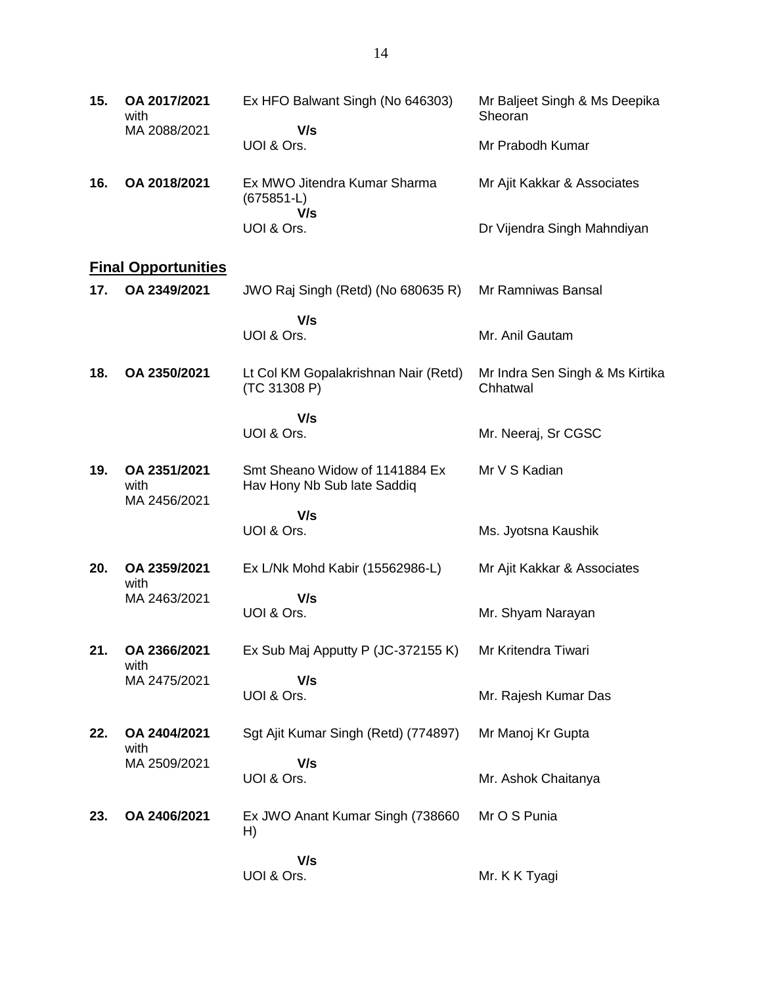| 15.                        | OA 2017/2021<br>with                 | Ex HFO Balwant Singh (No 646303)                              | Mr Baljeet Singh & Ms Deepika<br>Sheoran    |  |  |
|----------------------------|--------------------------------------|---------------------------------------------------------------|---------------------------------------------|--|--|
|                            | MA 2088/2021                         | V/s<br>UOI & Ors.                                             | Mr Prabodh Kumar                            |  |  |
| 16.                        | OA 2018/2021                         | Ex MWO Jitendra Kumar Sharma<br>$(675851-L)$                  | Mr Ajit Kakkar & Associates                 |  |  |
|                            |                                      | V/s<br>UOI & Ors.                                             | Dr Vijendra Singh Mahndiyan                 |  |  |
| <b>Final Opportunities</b> |                                      |                                                               |                                             |  |  |
| 17.                        | OA 2349/2021                         | JWO Raj Singh (Retd) (No 680635 R)                            | Mr Ramniwas Bansal                          |  |  |
|                            |                                      | V/s<br>UOI & Ors.                                             | Mr. Anil Gautam                             |  |  |
| 18.                        | OA 2350/2021                         | Lt Col KM Gopalakrishnan Nair (Retd)<br>(TC 31308 P)          | Mr Indra Sen Singh & Ms Kirtika<br>Chhatwal |  |  |
|                            |                                      | V/s                                                           |                                             |  |  |
|                            |                                      | UOI & Ors.                                                    | Mr. Neeraj, Sr CGSC                         |  |  |
| 19.                        | OA 2351/2021<br>with<br>MA 2456/2021 | Smt Sheano Widow of 1141884 Ex<br>Hav Hony Nb Sub late Saddiq | Mr V S Kadian                               |  |  |
|                            |                                      | V/s                                                           |                                             |  |  |
|                            |                                      | UOI & Ors.                                                    | Ms. Jyotsna Kaushik                         |  |  |
| 20.                        | OA 2359/2021<br>with                 | Ex L/Nk Mohd Kabir (15562986-L)                               | Mr Ajit Kakkar & Associates                 |  |  |
|                            | MA 2463/2021                         | V/s<br>UOI & Ors.                                             | Mr. Shyam Narayan                           |  |  |
| 21.                        | OA 2366/2021<br>with                 | Ex Sub Maj Apputty P (JC-372155 K)                            | Mr Kritendra Tiwari                         |  |  |
|                            | MA 2475/2021                         | V/s<br>UOI & Ors.                                             | Mr. Rajesh Kumar Das                        |  |  |
| 22.                        | OA 2404/2021<br>with                 | Sgt Ajit Kumar Singh (Retd) (774897)                          | Mr Manoj Kr Gupta                           |  |  |
|                            | MA 2509/2021                         | V/s<br>UOI & Ors.                                             | Mr. Ashok Chaitanya                         |  |  |
| 23.                        | OA 2406/2021                         | Ex JWO Anant Kumar Singh (738660<br>H)                        | Mr O S Punia                                |  |  |
|                            |                                      | V/s<br>UOI & Ors.                                             | Mr. K K Tyagi                               |  |  |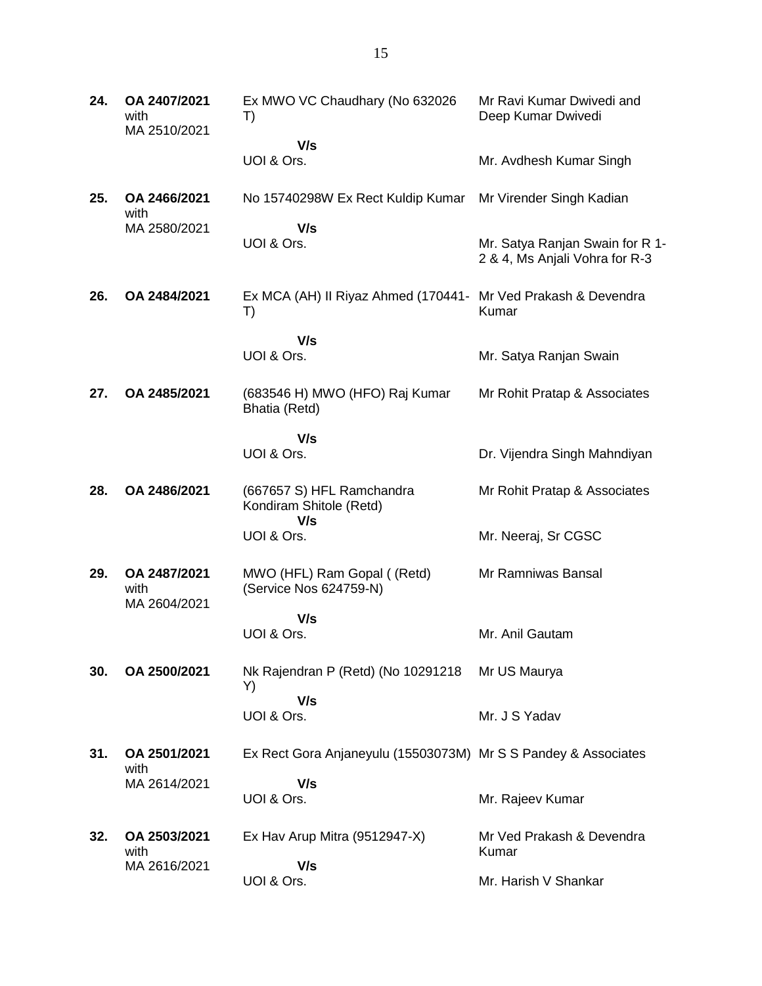| 24. | OA 2407/2021<br>with<br>MA 2510/2021 | Ex MWO VC Chaudhary (No 632026<br>T)                                | Mr Ravi Kumar Dwivedi and<br>Deep Kumar Dwivedi                   |
|-----|--------------------------------------|---------------------------------------------------------------------|-------------------------------------------------------------------|
|     |                                      | V/s<br>UOI & Ors.                                                   | Mr. Avdhesh Kumar Singh                                           |
| 25. | OA 2466/2021<br>with<br>MA 2580/2021 | No 15740298W Ex Rect Kuldip Kumar                                   | Mr Virender Singh Kadian                                          |
|     |                                      | V/s<br>UOI & Ors.                                                   | Mr. Satya Ranjan Swain for R 1-<br>2 & 4, Ms Anjali Vohra for R-3 |
| 26. | OA 2484/2021                         | Ex MCA (AH) II Riyaz Ahmed (170441- Mr Ved Prakash & Devendra<br>T) | Kumar                                                             |
|     |                                      | V/s<br>UOI & Ors.                                                   | Mr. Satya Ranjan Swain                                            |
| 27. | OA 2485/2021                         | (683546 H) MWO (HFO) Raj Kumar<br>Bhatia (Retd)                     | Mr Rohit Pratap & Associates                                      |
|     |                                      | V/s                                                                 |                                                                   |
|     |                                      | UOI & Ors.                                                          | Dr. Vijendra Singh Mahndiyan                                      |
| 28. | OA 2486/2021                         | (667657 S) HFL Ramchandra<br>Kondiram Shitole (Retd)<br>V/s         | Mr Rohit Pratap & Associates                                      |
|     |                                      | UOI & Ors.                                                          | Mr. Neeraj, Sr CGSC                                               |
| 29. | OA 2487/2021<br>with<br>MA 2604/2021 | MWO (HFL) Ram Gopal ((Retd)<br>(Service Nos 624759-N)               | Mr Ramniwas Bansal                                                |
|     |                                      | V/s                                                                 |                                                                   |
|     |                                      | UOI & Ors.                                                          | Mr. Anil Gautam                                                   |
| 30. | OA 2500/2021                         | Nk Rajendran P (Retd) (No 10291218<br>Y)                            | Mr US Maurya                                                      |
|     |                                      | V/s<br>UOI & Ors.                                                   | Mr. J S Yadav                                                     |
| 31. | OA 2501/2021<br>with<br>MA 2614/2021 | Ex Rect Gora Anjaneyulu (15503073M) Mr S S Pandey & Associates      |                                                                   |
|     |                                      | V/s<br>UOI & Ors.                                                   | Mr. Rajeev Kumar                                                  |
| 32. | OA 2503/2021<br>with                 | Ex Hav Arup Mitra (9512947-X)                                       | Mr Ved Prakash & Devendra<br>Kumar                                |
|     | MA 2616/2021                         | V/s<br>UOI & Ors.                                                   | Mr. Harish V Shankar                                              |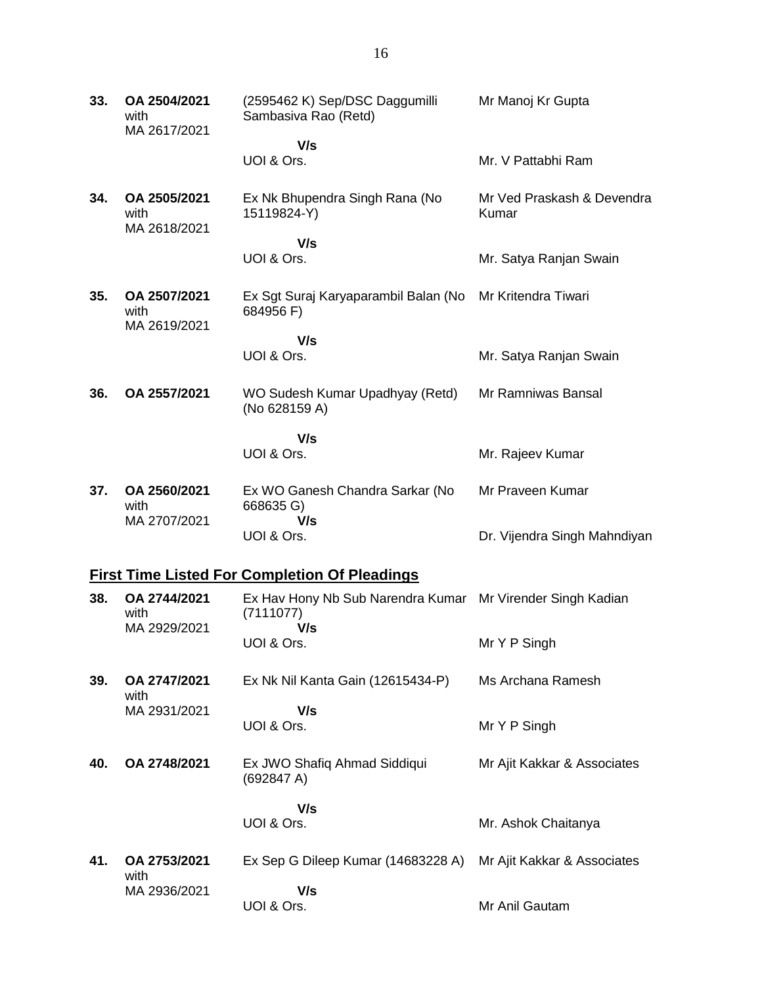**33. OA 2504/2021** with MA 2617/2021 (2595462 K) Sep/DSC Daggumilli Sambasiva Rao (Retd)  **V/s** UOI & Ors. Mr Manoj Kr Gupta Mr. V Pattabhi Ram **34. OA 2505/2021** with MA 2618/2021 Ex Nk Bhupendra Singh Rana (No 15119824-Y)  **V/s** UOI & Ors. Mr Ved Praskash & Devendra Kumar Mr. Satya Ranjan Swain **35. OA 2507/2021** with MA 2619/2021 Ex Sgt Suraj Karyaparambil Balan (No Mr Kritendra Tiwari 684956 F)  **V/s** UOI & Ors. Mr. Satya Ranjan Swain **36. OA 2557/2021** WO Sudesh Kumar Upadhyay (Retd) (No 628159 A)  **V/s** UOI & Ors. Mr Ramniwas Bansal Mr. Rajeev Kumar **37. OA 2560/2021** with MA 2707/2021 Ex WO Ganesh Chandra Sarkar (No 668635 G)  **V/s** UOI & Ors. Mr Praveen Kumar Dr. Vijendra Singh Mahndiyan **First Time Listed For Completion Of Pleadings 38. OA 2744/2021** with MA 2929/2021 Ex Hav Hony Nb Sub Narendra Kumar Mr Virender Singh Kadian (7111077)  **V/s** UOI & Ors. Mr Y P Singh **39. OA 2747/2021** with MA 2931/2021 Ex Nk Nil Kanta Gain (12615434-P)  **V/s** UOI & Ors. Ms Archana Ramesh Mr Y P Singh **40. OA 2748/2021** Ex JWO Shafiq Ahmad Siddiqui (692847 A)  **V/s** UOI & Ors. Mr Ajit Kakkar & Associates Mr. Ashok Chaitanya **41. OA 2753/2021** with MA 2936/2021 Ex Sep G Dileep Kumar (14683228 A)  **V/s** UOI & Ors. Mr Ajit Kakkar & Associates Mr Anil Gautam